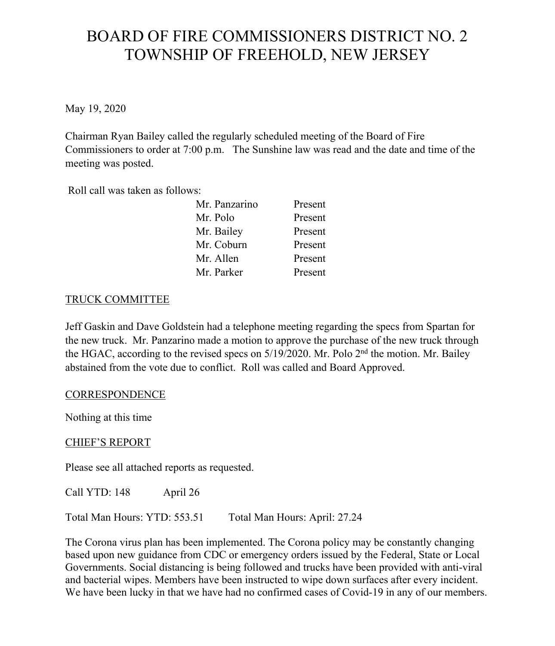# BOARD OF FIRE COMMISSIONERS DISTRICT NO. 2 TOWNSHIP OF FREEHOLD, NEW JERSEY

May 19, 2020

Chairman Ryan Bailey called the regularly scheduled meeting of the Board of Fire Commissioners to order at 7:00 p.m. The Sunshine law was read and the date and time of the meeting was posted.

Roll call was taken as follows:

| Mr. Panzarino | Present |
|---------------|---------|
| Mr. Polo      | Present |
| Mr. Bailey    | Present |
| Mr. Coburn    | Present |
| Mr. Allen     | Present |
| Mr. Parker    | Present |

### TRUCK COMMITTEE

Jeff Gaskin and Dave Goldstein had a telephone meeting regarding the specs from Spartan for the new truck. Mr. Panzarino made a motion to approve the purchase of the new truck through the HGAC, according to the revised specs on 5/19/2020. Mr. Polo 2<sup>nd</sup> the motion. Mr. Bailey abstained from the vote due to conflict. Roll was called and Board Approved.

#### **CORRESPONDENCE**

Nothing at this time

#### CHIEF'S REPORT

Please see all attached reports as requested.

Call YTD: 148 April 26

Total Man Hours: YTD: 553.51 Total Man Hours: April: 27.24

The Corona virus plan has been implemented. The Corona policy may be constantly changing based upon new guidance from CDC or emergency orders issued by the Federal, State or Local Governments. Social distancing is being followed and trucks have been provided with anti-viral and bacterial wipes. Members have been instructed to wipe down surfaces after every incident. We have been lucky in that we have had no confirmed cases of Covid-19 in any of our members.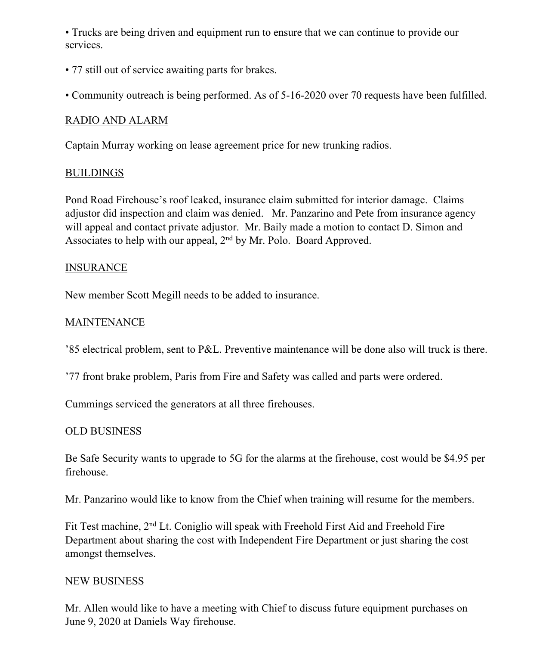• Trucks are being driven and equipment run to ensure that we can continue to provide our services.

- 77 still out of service awaiting parts for brakes.
- Community outreach is being performed. As of 5-16-2020 over 70 requests have been fulfilled.

## RADIO AND ALARM

Captain Murray working on lease agreement price for new trunking radios.

### BUILDINGS

Pond Road Firehouse's roof leaked, insurance claim submitted for interior damage. Claims adjustor did inspection and claim was denied. Mr. Panzarino and Pete from insurance agency will appeal and contact private adjustor. Mr. Baily made a motion to contact D. Simon and Associates to help with our appeal, 2<sup>nd</sup> by Mr. Polo. Board Approved.

### INSURANCE

New member Scott Megill needs to be added to insurance.

## MAINTENANCE

'85 electrical problem, sent to P&L. Preventive maintenance will be done also will truck is there.

'77 front brake problem, Paris from Fire and Safety was called and parts were ordered.

Cummings serviced the generators at all three firehouses.

### OLD BUSINESS

Be Safe Security wants to upgrade to 5G for the alarms at the firehouse, cost would be \$4.95 per firehouse.

Mr. Panzarino would like to know from the Chief when training will resume for the members.

Fit Test machine, 2nd Lt. Coniglio will speak with Freehold First Aid and Freehold Fire Department about sharing the cost with Independent Fire Department or just sharing the cost amongst themselves.

### NEW BUSINESS

Mr. Allen would like to have a meeting with Chief to discuss future equipment purchases on June 9, 2020 at Daniels Way firehouse.